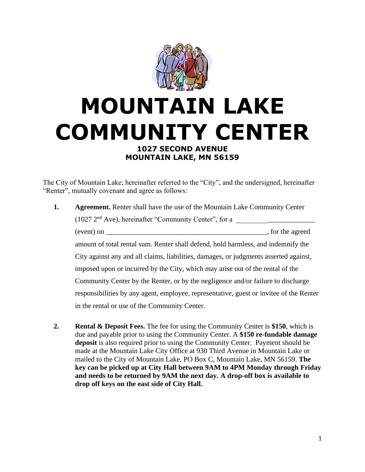

## **MOUNTAIN LAKE COMMUNITY CENTER 1027 SECOND AVENUE MOUNTAIN LAKE, MN 56159**

The City of Mountain Lake; hereinafter referred to the "City", and the undersigned, hereinafter "Renter", mutually covenant and agree as follows:

- **1. Agreement.** Renter shall have the use of the Mountain Lake Community Center (1027 2nd Ave), hereinafter "Community Center", for a \_\_\_\_\_\_\_\_\_\_\_\_\_\_\_\_\_\_\_\_\_\_ (event) on \_\_\_\_\_\_\_\_\_\_\_\_\_\_\_\_\_\_\_\_\_\_\_\_\_\_\_\_\_\_\_\_\_\_\_\_\_\_\_\_\_\_\_\_\_, for the agreed amount of total rental sum. Renter shall defend, hold harmless, and indemnify the City against any and all claims, liabilities, damages, or judgments asserted against, imposed upon or incurred by the City, which may arise out of the rental of the Community Center by the Renter, or by the negligence and/or failure to discharge responsibilities by any agent, employee, representative, guest or invitee of the Renter in the rental or use of the Community Center.
- **2. Rental & Deposit Fees.** The fee for using the Community Center is **\$150**, which is due and payable prior to using the Community Center. A **\$150 re-fundable damage deposit** is also required prior to using the Community Center. Payment should be made at the Mountain Lake City Office at 930 Third Avenue in Mountain Lake or mailed to the City of Mountain Lake, PO Box C, Mountain Lake, MN 56159. **The key can be picked up at City Hall between 9AM to 4PM Monday through Friday and needs to be returned by 9AM the next day. A drop-off box is available to drop off keys on the east side of City Hall.**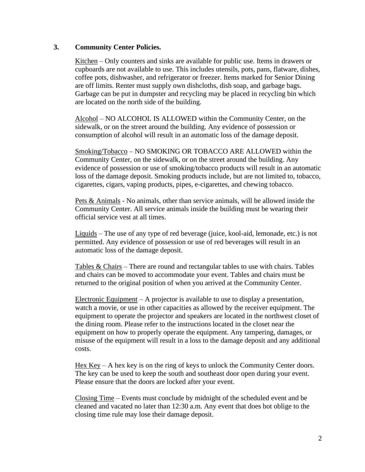## **3. Community Center Policies.**

Kitchen – Only counters and sinks are available for public use. Items in drawers or cupboards are not available to use. This includes utensils, pots, pans, flatware, dishes, coffee pots, dishwasher, and refrigerator or freezer. Items marked for Senior Dining are off limits. Renter must supply own dishcloths, dish soap, and garbage bags. Garbage can be put in dumpster and recycling may be placed in recycling bin which are located on the north side of the building.

Alcohol – NO ALCOHOL IS ALLOWED within the Community Center, on the sidewalk, or on the street around the building. Any evidence of possession or consumption of alcohol will result in an automatic loss of the damage deposit.

Smoking/Tobacco – NO SMOKING OR TOBACCO ARE ALLOWED within the Community Center, on the sidewalk, or on the street around the building. Any evidence of possession or use of smoking/tobacco products will result in an automatic loss of the damage deposit. Smoking products include, but are not limited to, tobacco, cigarettes, cigars, vaping products, pipes, e-cigarettes, and chewing tobacco.

Pets & Animals - No animals, other than service animals, will be allowed inside the Community Center. All service animals inside the building must be wearing their official service vest at all times.

Liquids – The use of any type of red beverage (juice, kool-aid, lemonade, etc.) is not permitted. Any evidence of possession or use of red beverages will result in an automatic loss of the damage deposit.

Tables & Chairs – There are round and rectangular tables to use with chairs. Tables and chairs can be moved to accommodate your event. Tables and chairs must be returned to the original position of when you arrived at the Community Center.

Electronic Equipment – A projector is available to use to display a presentation, watch a movie, or use in other capacities as allowed by the receiver equipment. The equipment to operate the projector and speakers are located in the northwest closet of the dining room. Please refer to the instructions located in the closet near the equipment on how to properly operate the equipment. Any tampering, damages, or misuse of the equipment will result in a loss to the damage deposit and any additional costs.

Hex  $Key - A$  hex key is on the ring of keys to unlock the Community Center doors. The key can be used to keep the south and southeast door open during your event. Please ensure that the doors are locked after your event.

Closing Time – Events must conclude by midnight of the scheduled event and be cleaned and vacated no later than 12:30 a.m. Any event that does bot oblige to the closing time rule may lose their damage deposit.